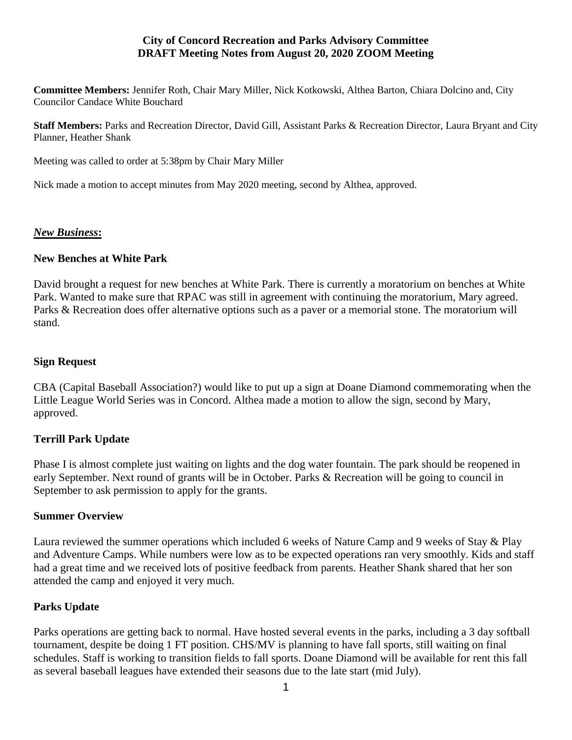### **City of Concord Recreation and Parks Advisory Committee DRAFT Meeting Notes from August 20, 2020 ZOOM Meeting**

**Committee Members:** Jennifer Roth, Chair Mary Miller, Nick Kotkowski, Althea Barton, Chiara Dolcino and, City Councilor Candace White Bouchard

**Staff Members:** Parks and Recreation Director, David Gill, Assistant Parks & Recreation Director, Laura Bryant and City Planner, Heather Shank

Meeting was called to order at 5:38pm by Chair Mary Miller

Nick made a motion to accept minutes from May 2020 meeting, second by Althea, approved.

# *New Business***:**

### **New Benches at White Park**

David brought a request for new benches at White Park. There is currently a moratorium on benches at White Park. Wanted to make sure that RPAC was still in agreement with continuing the moratorium, Mary agreed. Parks & Recreation does offer alternative options such as a paver or a memorial stone. The moratorium will stand.

#### **Sign Request**

CBA (Capital Baseball Association?) would like to put up a sign at Doane Diamond commemorating when the Little League World Series was in Concord. Althea made a motion to allow the sign, second by Mary, approved.

# **Terrill Park Update**

Phase I is almost complete just waiting on lights and the dog water fountain. The park should be reopened in early September. Next round of grants will be in October. Parks & Recreation will be going to council in September to ask permission to apply for the grants.

#### **Summer Overview**

Laura reviewed the summer operations which included 6 weeks of Nature Camp and 9 weeks of Stay & Play and Adventure Camps. While numbers were low as to be expected operations ran very smoothly. Kids and staff had a great time and we received lots of positive feedback from parents. Heather Shank shared that her son attended the camp and enjoyed it very much.

# **Parks Update**

Parks operations are getting back to normal. Have hosted several events in the parks, including a 3 day softball tournament, despite be doing 1 FT position. CHS/MV is planning to have fall sports, still waiting on final schedules. Staff is working to transition fields to fall sports. Doane Diamond will be available for rent this fall as several baseball leagues have extended their seasons due to the late start (mid July).